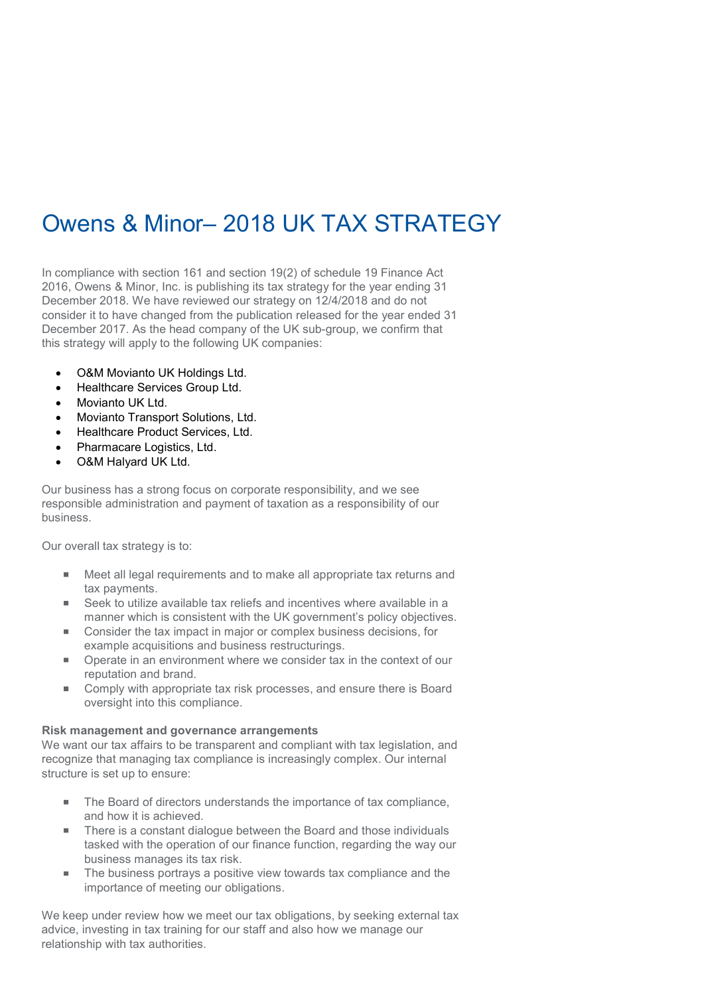# Owens & Minor– 2018 UK TAX STRATEGY

In compliance with section 161 and section 19(2) of schedule 19 Finance Act 2016, Owens & Minor, Inc. is publishing its tax strategy for the year ending 31 December 2018. We have reviewed our strategy on 12/4/2018 and do not consider it to have changed from the publication released for the year ended 31 December 2017. As the head company of the UK sub-group, we confirm that this strategy will apply to the following UK companies:

- O&M Movianto UK Holdings Ltd.
- Healthcare Services Group Ltd.
- Movianto UK Ltd.
- Movianto Transport Solutions, Ltd.
- Healthcare Product Services, Ltd.
- Pharmacare Logistics, Ltd.
- O&M Halyard UK Ltd.

Our business has a strong focus on corporate responsibility, and we see responsible administration and payment of taxation as a responsibility of our business.

Our overall tax strategy is to:

- Meet all legal requirements and to make all appropriate tax returns and tax payments.
- Seek to utilize available tax reliefs and incentives where available in a manner which is consistent with the UK government's policy objectives.
- Consider the tax impact in major or complex business decisions, for example acquisitions and business restructurings.
- Operate in an environment where we consider tax in the context of our reputation and brand.
- $\blacksquare$ Comply with appropriate tax risk processes, and ensure there is Board oversight into this compliance.

### Risk management and governance arrangements

We want our tax affairs to be transparent and compliant with tax legislation, and recognize that managing tax compliance is increasingly complex. Our internal structure is set up to ensure:

- The Board of directors understands the importance of tax compliance, and how it is achieved.
- There is a constant dialogue between the Board and those individuals tasked with the operation of our finance function, regarding the way our business manages its tax risk.
- The business portrays a positive view towards tax compliance and the importance of meeting our obligations.

We keep under review how we meet our tax obligations, by seeking external tax advice, investing in tax training for our staff and also how we manage our relationship with tax authorities.